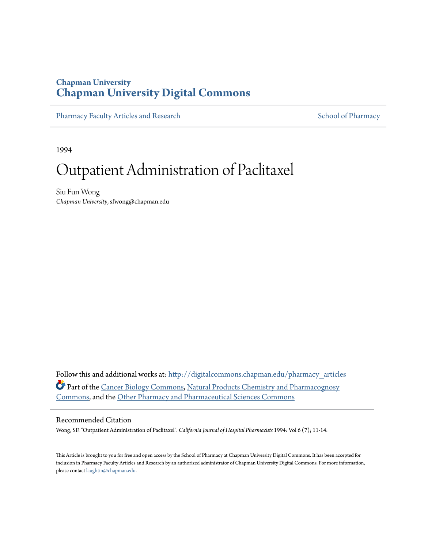## **Chapman University [Chapman University Digital Commons](http://digitalcommons.chapman.edu?utm_source=digitalcommons.chapman.edu%2Fpharmacy_articles%2F202&utm_medium=PDF&utm_campaign=PDFCoverPages)**

[Pharmacy Faculty Articles and Research](http://digitalcommons.chapman.edu/pharmacy_articles?utm_source=digitalcommons.chapman.edu%2Fpharmacy_articles%2F202&utm_medium=PDF&utm_campaign=PDFCoverPages) [School of Pharmacy](http://digitalcommons.chapman.edu/cusp?utm_source=digitalcommons.chapman.edu%2Fpharmacy_articles%2F202&utm_medium=PDF&utm_campaign=PDFCoverPages)

1994

# Outpatient Administration of Paclitaxel

Siu Fun Wong *Chapman University*, sfwong@chapman.edu

Follow this and additional works at: [http://digitalcommons.chapman.edu/pharmacy\\_articles](http://digitalcommons.chapman.edu/pharmacy_articles?utm_source=digitalcommons.chapman.edu%2Fpharmacy_articles%2F202&utm_medium=PDF&utm_campaign=PDFCoverPages) Part of the [Cancer Biology Commons](http://network.bepress.com/hgg/discipline/12?utm_source=digitalcommons.chapman.edu%2Fpharmacy_articles%2F202&utm_medium=PDF&utm_campaign=PDFCoverPages), [Natural Products Chemistry and Pharmacognosy](http://network.bepress.com/hgg/discipline/735?utm_source=digitalcommons.chapman.edu%2Fpharmacy_articles%2F202&utm_medium=PDF&utm_campaign=PDFCoverPages) [Commons,](http://network.bepress.com/hgg/discipline/735?utm_source=digitalcommons.chapman.edu%2Fpharmacy_articles%2F202&utm_medium=PDF&utm_campaign=PDFCoverPages) and the [Other Pharmacy and Pharmaceutical Sciences Commons](http://network.bepress.com/hgg/discipline/737?utm_source=digitalcommons.chapman.edu%2Fpharmacy_articles%2F202&utm_medium=PDF&utm_campaign=PDFCoverPages)

### Recommended Citation

Wong, SF. "Outpatient Administration of Paclitaxel". *California Journal of Hospital Pharmacists* 1994: Vol 6 (7); 11-14.

This Article is brought to you for free and open access by the School of Pharmacy at Chapman University Digital Commons. It has been accepted for inclusion in Pharmacy Faculty Articles and Research by an authorized administrator of Chapman University Digital Commons. For more information, please contact [laughtin@chapman.edu.](mailto:laughtin@chapman.edu)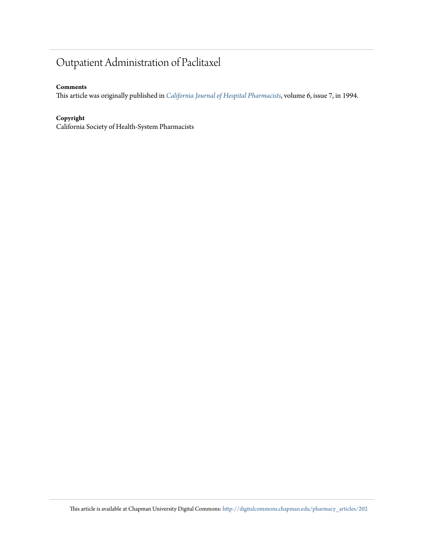# Outpatient Administration of Paclitaxel

## **Comments**

This article was originally published in *[California Journal of Hospital Pharmacists](http://www.cshp.org/cjhp)*, volume 6, issue 7, in 1994.

## **Copyright**

California Society of Health-System Pharmacists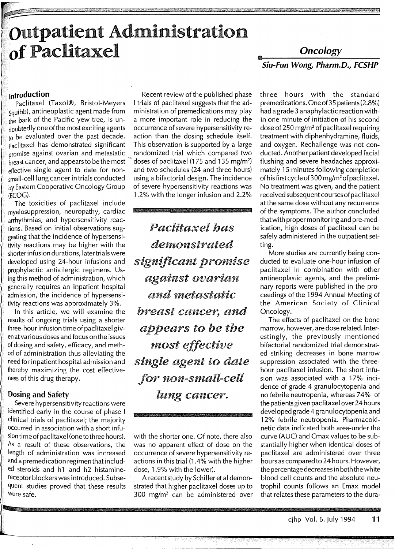# <sup>f</sup>**outpatient Administration**  I **of Paclitaxel**

最終

## *Oncology*  **Siu-Fun Wong, Pharm.D., FCSHP**

r

squibb), antineoplastic agent made from  $d$ oubtedly one of the most exciting agents occurrence of severe hypersensitivity re-<br>to be evaluated over the past decade. action than the dosing schedule itself.  $t_0$  be evaluated over the past decade. action than the dosing schedule itself.<br>Paclitaxel has demonstrated significant This observation is supported by a large paclitaxel has demonstrated significant This observation is supported by a large<br>promise against ovarian and metastatic randomized trial which compared two promise against ovarian and metastatic  $\frac{1}{\text{break}}$  cancer, and appears to be the most effective single agent to date for nonsmall-cell lung cancer in trials conducted using a bifactorial design. The incidence by Eastern Cooperative Oncology Group of severe hypersensitivity reactions was (ECOG).<br>1.2% with the longer infusion and 2.2%

The toxicities of paclitaxel include myelosuppression, neuropathy, cardiac arrhythmias, and hypersensitivity reactions. Based on initial observations suggesting that the incidence of hypersensitivity reactions may be higher with the shorter infusion durations, later trials were developed using 24-hour infusions and prophylactic antiallergic regimens. Using this method of administration, which generally requires an inpatient hospital admission, the incidence of hypersensitivity reactions was approximately 3%.

In this article, we will examine the results of ongoing trials using a shorter three-hour infusion time of paclitaxel given at various doses and focus on the issues of dosing and safety, efficacy, and method of administration thus alleviating the need for inpatient hospital admission and thereby maximizing the cost effectiveness of this drug therapy.

## **Dosing and Safety**

Severe hypersensitivity reactions were identified early in the course of phase I clinical trials of paclitaxel; the majority occurred in association with a short infusiontimeof paclitaxel (one to three hours). As a result of these observations, the length of administration was increased and a premedication regimen that included steroids and hl and h2 histaminereceptor blockers was introduced. Subsequent studies proved that these results Were safe.

**Introduction**<br>**Paclitaxel (Taxol®, Bristol-Meyers** I trials of paclitaxel suggests that the ad-I trials of paclitaxel suggests that the ad-<br>ministration of premedications may play the bark of the Pacific yew tree, is un-<br>doubtedly one of the most exciting agents occurrence of severe hypersensitivity redoses of paclitaxel (175 and 135 mg/m<sup>2</sup>) and two schedules (24 and three hours) 1.2% with the longer infusion and 2.2%

> *Paclitaxel has de1nonstrated significant prornise against ovarian and nietastatic breast cancer, and appears to be the rnost effective single agent to date for non-sniall-cell*  lung *cancer.*

with the shorter one. Of note, there also was no apparent effect of dose on the occurrence of severe hypersensitivity reactions in this trial (1.4% with the higher dose, 1.9% with the lower).

A recent study by Schiller et al demonstrated that higher paclitaxel doses up to 300 mg/m<sup>2</sup> can be administered over

three hours with the standard premedications. One of 35 patients (2.8%) had a grade 3 anaphylactic reaction within one minute of initiation of his second dose of 250 mg/m2 of paclitaxel requiring treatment with diphenhydramine, fluids, and oxygen. Rechallenge was not conducted. Another patient developed facial flushing and severe headaches approximately 15 minutes following completion of his first cycle of 300 mg/m2 of paclitaxel. No treatment was given, and the patient received subsequent courses of paclitaxel at the same dose without any recurrence of the symptoms. The author concluded that with proper monitoring and pre-medication, high doses of paclitaxel can be safely administered in the outpatient setting.

More studies are currently being conducted to evaluate one-hour infusion of paclitaxel in combination with other antineoplastic agents, and the preliminary reports were published in the proceedings of the 1994 Annual Meeting of the American Society of Clinical Oncology.

The effects of paclitaxel on the bone marrow, however, are dose related. lnterestingly, the previously mentioned bifactorial randomized trial demonstrated striking decreases in bone marrow suppression associated with the threehour paclitaxel infusion. The short infusion was associated with a 17% incidence of grade 4 granulocytopenia and no febrile neutropenia, whereas 74% of the patients given pacl itaxel over 24 hours developed grade 4 granulocytopenia and 12% febrile neutropenia. Pharmacokinetic data indicated both area-under the curve (AUC) and Cmax values to be substantially higher when identical doses of paclitaxel are administered over three pours as compared to 24 hours. However, the percentage decreases in both the white blood cell counts and the absolute neutrophil counts follows an Emax model that relates these parameters to the dura-

23.30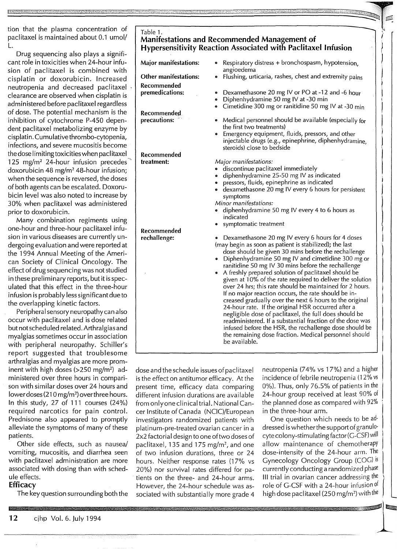tion that the plasma concentration of paclitaxel is maintained about 0.1 umol/ L.

Drug sequencing also plays a significant role in toxicities when 24-hour infusion of paclitaxel is combined with cisplatin or doxorubicin. Increased neutropenia and decreased paclitaxel clearance are observed when cisplatin is administered before paclitaxel regardless of dose. The potential mechanism is the inhibition of cytochrome P-450 dependent paclitaxel metabolizing enzyme by cisplatin. Cumulative thrombo-cytopenia, infections, and severe mucositis become the dose limiting toxicities when paclitaxel 125 mg/m<sup>2</sup> 24-hour infusion precedes<sup>7</sup> doxorubicin 48 mg/m2 48-hour infusion; when the sequence is reversed, the doses of both agents can be escalated. Doxorubicin level was also noted to increase by 30% when paclitaxel was administered prior to doxorubicin.

Many combination regiments using one-hour and three-hour paclitaxel infusion in various diseases are currently undergoing evaluation and were reported at the 1994 Annual Meeting of the American Society of Clinical Oncology. The effect of drug sequencing was not studied in these preliminary reports, but it is speculated that this effect in the three-hour infusion is probably less significant due to the overlapping kinetic factors.

Peripheral sensory neuropathy can also occur with paclitaxel and is dose related but not scheduled related. Arthralgias and myalgias sometimes occur in association with peripheral neuropathy. Schiller's report suggested that troublesome arthralgias and myalgias are more prominent with high doses (>250 mg/m2 ) administered over three hours in comparison with similar doses over 24 hours and lower doses (210 mg/m<sup>2</sup>) over three hours. In this study, 27 of 111 courses (24%) required narcotics for pain control. Prednisone also appeared to promptly alleviate the symptoms of many of these patients.

Other side effects, such as nausea/ vomiting, mucositis, and diarrhea seen with paclitaxel administration are more associated with dosing than with schedule effects.

### **Efficacy**

The key question surrounding both the

| Table 1.<br><b>Manifestations and Recommended Management of</b><br><b>Hypersensitivity Reaction Associated with Paclitaxel Infusion</b> |                                                                                                                                                                                                                                                                                                                                                                                                                                                                                                                                                                                                                                                                                                                                                                                                                                                                                                                                |  |
|-----------------------------------------------------------------------------------------------------------------------------------------|--------------------------------------------------------------------------------------------------------------------------------------------------------------------------------------------------------------------------------------------------------------------------------------------------------------------------------------------------------------------------------------------------------------------------------------------------------------------------------------------------------------------------------------------------------------------------------------------------------------------------------------------------------------------------------------------------------------------------------------------------------------------------------------------------------------------------------------------------------------------------------------------------------------------------------|--|
| <b>Major manifestations:</b>                                                                                                            | Respiratory distress + bronchospasm, hypotension,<br>۰<br>angioedema                                                                                                                                                                                                                                                                                                                                                                                                                                                                                                                                                                                                                                                                                                                                                                                                                                                           |  |
| <b>Other manifestations:</b>                                                                                                            | Flushing, urticaria, rashes, chest and extremity pains<br>ø                                                                                                                                                                                                                                                                                                                                                                                                                                                                                                                                                                                                                                                                                                                                                                                                                                                                    |  |
| Recommended                                                                                                                             |                                                                                                                                                                                                                                                                                                                                                                                                                                                                                                                                                                                                                                                                                                                                                                                                                                                                                                                                |  |
| premedications:                                                                                                                         | Dexamethasone 20 mg IV or PO at -12 and -6 hour<br>۰<br>Diphenhydramine 50 mg IV at -30 min<br>۰<br>Cimetidine 300 mg or ranitidine 50 mg IV at -30 min<br>۰                                                                                                                                                                                                                                                                                                                                                                                                                                                                                                                                                                                                                                                                                                                                                                   |  |
| Recommended                                                                                                                             |                                                                                                                                                                                                                                                                                                                                                                                                                                                                                                                                                                                                                                                                                                                                                                                                                                                                                                                                |  |
| precautions:                                                                                                                            | Medical personnel should be available (especially for<br>۰<br>the first two treatments)<br>Emergency equipment, fluids, pressors, and other<br>۰                                                                                                                                                                                                                                                                                                                                                                                                                                                                                                                                                                                                                                                                                                                                                                               |  |
|                                                                                                                                         | injectable drugs (e.g., epinephrine, diphenhydramine,<br>steroids) close to bedside                                                                                                                                                                                                                                                                                                                                                                                                                                                                                                                                                                                                                                                                                                                                                                                                                                            |  |
| Recommended                                                                                                                             |                                                                                                                                                                                                                                                                                                                                                                                                                                                                                                                                                                                                                                                                                                                                                                                                                                                                                                                                |  |
| treatment:                                                                                                                              | Major manifestations:<br>discontinue paclitaxel immediately<br>0<br>diphenhydramine 25-50 mg IV as indicated<br>e<br>pressors, fluids, epinephrine as indicated<br>۰<br>dexamethasone 20 mg IV every 6 hours for persistent<br>۰<br>symptoms<br>Minor manifestations:<br>diphenhydramine 50 mg IV every 4 to 6 hours as<br>indicated<br>• symptomatic treatment                                                                                                                                                                                                                                                                                                                                                                                                                                                                                                                                                                |  |
| Recommended<br>rechallenge:                                                                                                             | Dexamethasone 20 mg IV every 6 hours for 4 doses<br>$\bullet$<br>(may begin as soon as patient is stabilized); the last<br>dose should be given 30 mins before the rechallenge<br>Diphenhydramine 50 mg IV and cimetidine 300 mg or<br>۰<br>ranitidine 50 mg IV 30 mins before the rechallenge<br>A freshly prepared solution of paclitaxel should be<br>$\bullet$<br>given at 10% of the rate required to deliver the solution<br>over 24 hrs; this rate should be maintained for 2 hours.<br>If no major reaction occurs, the rate should be in-<br>creased gradually over the next 6 hours to the original<br>24-hour rate. If the original HSR occurred after a<br>negligible dose of paclitaxel, the full does should be<br>readministered. If a substantial fraction of the dose was<br>infused before the HSR, the rechallenge dose should be<br>the remaining dose fraction. Medical personnel should<br>be available. |  |

dose and the schedule issues of paclitaxel is the effect on antitumor efficacy. At the present time, efficacy data comparing different infusion durations are available from only one clinical trial. National Cancer Institute of Canada (NCIC)/European investigators randomized patients with platinum-pre-treated ovarian cancer in a 2x2 factorial design to one of two doses of paclitaxel, 135 and 175 mg/m<sup>2</sup>, and one of two infusion durations, three or 24 hours. Neither response rates (17% vs 20%) nor survival rates differed for patients on the three- and 24-hour arms. However, the 24-hour schedule was associated with substantially more grade 4

neutropenia (7 4% vs 17%) and a higher incidence of febrile neutropenia (12% vs 0%). Thus, only 76.5% of patients in the 24-hour group received at least 90% of the planned dose as compared with 92% in the three-hour arm.

I

I

 $\parallel$ 

|<br>|<br>|<br>|

 $\left\{\begin{array}{c} \end{array}\right.$ 

One question which needs to be addressed is whether the support of granulocyte colony-stimulating factor(G-CSF) will allow maintenance of chemotherapy dose-intensity of the 24-hour arm. The Gynecology Oncology Group (COG) is currently conducting a randomized phase III trial in ovarian cancer addressing the role of G-CSF with a 24-hour infusion of high dose paclitaxel (250 mg/m<sup>2</sup>) with the the contract of the contract of the contract of the contract of the contract of the contract of the contract of the contract of the contract of the contract of the contract of the contract of the contract of the contract o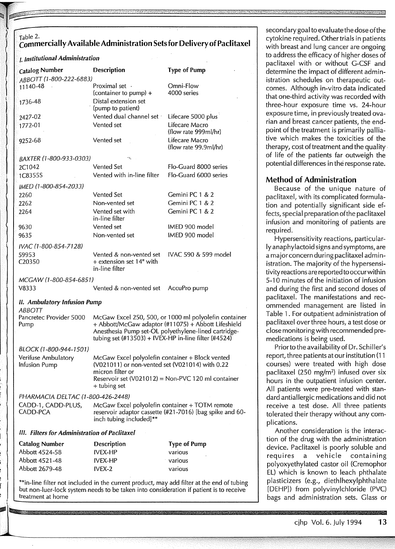# Table 2.<br>Commercially Available Administration Sets for Delivery of Paclitaxel

### /. **Institutional Administration**

| l, lliautational rialminatration              |                                                                                                    |                                                                                           |  |
|-----------------------------------------------|----------------------------------------------------------------------------------------------------|-------------------------------------------------------------------------------------------|--|
| <b>Catalog Number</b>                         | <b>Description</b>                                                                                 | <b>Type of Pump</b>                                                                       |  |
| ABBOTT (1-800-222-6883)                       |                                                                                                    |                                                                                           |  |
| 11140-48                                      | Proximal set ·                                                                                     | Omni-Flow                                                                                 |  |
|                                               | (container to pump) +                                                                              | 4000 series                                                                               |  |
| 1736-48                                       | Distal extension set                                                                               |                                                                                           |  |
|                                               | (pump to patient)                                                                                  |                                                                                           |  |
| 2427-02                                       | Vented dual channel set :                                                                          | Lifecare 5000 plus                                                                        |  |
| 1772-01                                       | Vented set                                                                                         | Lifecare Macro                                                                            |  |
|                                               |                                                                                                    | (flow rate 999ml/hr)                                                                      |  |
| 9252-68                                       | Vented set                                                                                         | Lifecare Macro                                                                            |  |
|                                               |                                                                                                    | (flow rate 99.9ml/hr)                                                                     |  |
| BAXTER (1-800-933-0303)                       | γ.                                                                                                 |                                                                                           |  |
| 2C1042                                        | <b>Vented Set</b>                                                                                  | Flo-Guard 8000 series                                                                     |  |
| 1C8355S                                       | Vented with in-line filter                                                                         | Flo-Guard 6000 series                                                                     |  |
|                                               |                                                                                                    |                                                                                           |  |
| IMED (1-800-854-2033)                         |                                                                                                    |                                                                                           |  |
| 2260                                          | <b>Vented Set</b>                                                                                  | Gemini PC 1 & 2                                                                           |  |
| 2262                                          | Non-vented set                                                                                     | Gemini PC 1 & 2                                                                           |  |
| 2264                                          | Vented set with                                                                                    | Gemini PC 1 & 2                                                                           |  |
|                                               | in-line filter                                                                                     |                                                                                           |  |
| 9630                                          | Vented set                                                                                         | IMED 900 model                                                                            |  |
| 9635                                          | Non-vented set                                                                                     | IMED 900 model                                                                            |  |
| IVAC (1-800-854-7128)                         |                                                                                                    |                                                                                           |  |
| 59953                                         | Vented & non-vented set                                                                            | IVAC 590 & 599 model                                                                      |  |
| C20350                                        | + extension set 14" with                                                                           |                                                                                           |  |
|                                               | in-line filter                                                                                     |                                                                                           |  |
| MCGAW (1-800-854-6851)                        |                                                                                                    |                                                                                           |  |
| V8333                                         | Vented & non-vented set                                                                            | AccuPro pump                                                                              |  |
|                                               |                                                                                                    |                                                                                           |  |
| II. Ambulatory Infusion Pump                  |                                                                                                    |                                                                                           |  |
| ABBOTT                                        |                                                                                                    |                                                                                           |  |
| Pancretec Provider 5000                       |                                                                                                    | McGaw Excel 250, 500, or 1000 ml polyolefin container                                     |  |
| Pump                                          |                                                                                                    | + Abbott/McGaw adaptor (#11075) + Abbott Lifeshield                                       |  |
|                                               | tubing set (#13503) + IVEX-HP in-line filter (#4524)                                               | Anesthesia Pump set-OL polyethylene-lined cartridge-                                      |  |
|                                               |                                                                                                    |                                                                                           |  |
| BLOCK (1-800-944-1501)                        |                                                                                                    |                                                                                           |  |
| Verifuse Ambulatory                           | McGaw Excel polyolefin container + Block vented<br>(V021011) or non-vented set (V021014) with 0.22 |                                                                                           |  |
| Infusion Pump                                 |                                                                                                    |                                                                                           |  |
|                                               | micron filter or                                                                                   |                                                                                           |  |
|                                               | + tubing set                                                                                       | Reservoir set (V021012) = Non-PVC 120 ml container                                        |  |
|                                               |                                                                                                    |                                                                                           |  |
| PHARMACIA DELTAC (1-800-426-2448)             |                                                                                                    |                                                                                           |  |
| CADD-1, CADD-PLUS,                            | McGaw Excel polyolefin container + TOTM remote                                                     |                                                                                           |  |
| CADD-PCA                                      |                                                                                                    | reservoir adaptor cassette (#21-7016) [bag spike and 60-                                  |  |
|                                               | inch tubing included]**                                                                            |                                                                                           |  |
| III. Filters for Administration of Paclitaxel |                                                                                                    |                                                                                           |  |
| <b>Catalog Number</b>                         | <b>Description</b>                                                                                 | <b>Type of Pump</b>                                                                       |  |
| Abbott 4524-58                                | IVEX-HP                                                                                            | various                                                                                   |  |
| Abbott 4521-48                                | <b>IVEX-HP</b>                                                                                     | various                                                                                   |  |
| Abbott 2679-48                                | IVEX-2                                                                                             | various                                                                                   |  |
|                                               |                                                                                                    |                                                                                           |  |
|                                               |                                                                                                    | **in-line filter not included in the current product, may add filter at the end of tubing |  |

but non-luer-lock system.needs to be taken into consideration if patient is to receive

treatment at home

secondary goal to evaluate the dose of the cytokine required. Other trials in patients with breast and lung cancer are ongoing to address the efficacy of higher doses of paclitaxel with or without G-CSF and determine the impact of different administration schedules on therapeutic outcomes. Although in-vitro data indicated that one-third activity was recorded with three-hour exposure time vs. 24-hour exposure time, in previously treated ovarian and breast cancer patients, the endpoint of the treatment is primarily palliative which makes the toxicities of the therapy, cost of treatment and the quality. of life of the patients far outweigh the potential differences in the response rate.

## **Method of Administration**

Because of the unique nature of paclitaxel, with its complicated formulation and potentially significant side effects, special preparation of the paclitaxel infusion and monitoring of patients are required.

Hypersensitivity reactions, particularly anaphylactoid signs and symptoms, are a major concern during paclitaxel administration. The majority of the hypersensitivity reactions are reported to occurwithin 5-10 minutes of the initiation of infusion and during the first and second doses of paclitaxel. The manifestations and recommended management are listed in Table 1. For outpatient administration of paclitaxel over three hours, a test dose or close monitoring with recommended premedications is being used.

Prior to the availability of Dr. Schiller's report, three patients at our institution (11 courses) were treated with high dose paclitaxel (250 mg/m2) infused over six hours in the outpatient infusion center. All patients were pre-treated with standard antiallergic medications and did not receive a test dose. All three patients tolerated their therapy without any complications.

Another consideration is the interaction of the drug with the administration device. Paclitaxel is poorly soluble and requires a vehicle containing polyoxyethylated castor oil (Cremophor EL) which is known to leach phthalate plasticizers (e.g., diethlhexylphthalate [DEHP]) from polyvinylchloride (PVC) bags and administration sets. Glass or